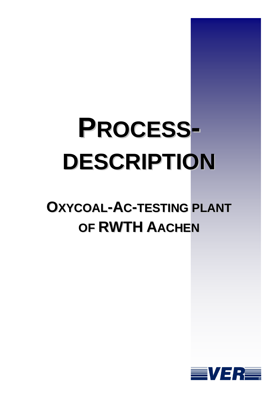## **PROCESS-DESCRIPTION**

## **OXYCOAL-AC-TESTING PLANT OF RWTH AACHEN**

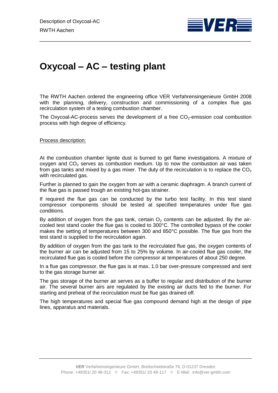

## **Oxycoal – AC – testing plant**

The RWTH Aachen ordered the engineering office VER Verfahrensingenieure GmbH 2008 with the planning, delivery, construction and commissioning of a complex flue gas recirculation system of a testing combustion chamber.

\_\_\_\_\_\_\_\_\_\_\_\_\_\_\_\_\_\_\_\_\_\_\_\_\_\_\_\_\_\_\_\_\_\_\_\_\_\_\_\_\_\_\_\_\_\_\_\_\_\_\_\_\_\_\_\_\_\_\_\_\_\_\_\_\_\_\_\_\_\_\_\_\_\_

The Oxycoal-AC-process serves the development of a free  $CO<sub>2</sub>$ -emission coal combustion process with high degree of efficiency.

Process description:

At the combustion chamber lignite dust is burned to get flame investigations. A mixture of oxygen and  $CO<sub>2</sub>$  serves as combustion medium. Up to now the combustion air was taken from gas tanks and mixed by a gas mixer. The duty of the recirculation is to replace the  $CO<sub>2</sub>$ with recirculated gas.

Further is planned to gain the oxygen from air with a ceramic diaphragm. A branch current of the flue gas is passed trough an existing hot-gas strainer.

If required the flue gas can be conducted by the turbo test facility. In this test stand compressor components should be tested at specified temperatures under flue gas conditions.

By addition of oxygen from the gas tank, certain  $O<sub>2</sub>$  contents can be adjusted. By the aircooled test stand cooler the flue gas is cooled to 300°C. The controlled bypass of the cooler makes the setting of temperatures between 300 and 850°C possible. The flue gas from the test stand is supplied to the recirculation again.

By addition of oxygen from the gas tank to the recirculated flue gas, the oxygen contents of the burner air can be adjusted from 15 to 25% by volume. In air-cooled flue gas cooler, the recirculated flue gas is cooled before the compressor at temperatures of about 250 degree.

In a flue gas compressor, the flue gas is at max. 1.0 bar over-pressure compressed and sent to the gas storage burner air.

The gas storage of the burner air serves as a buffer to regular and distribution of the burner air. The several burner airs are regulated by the existing air ducts fed to the burner. For starting and preheat of the recirculation must be flue gas drained off.

The high temperatures and special flue gas compound demand high at the design of pipe lines, apparatus and materials.